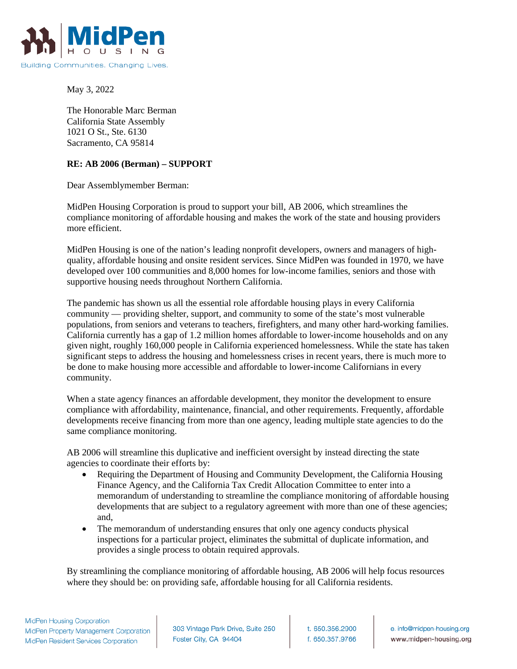

May 3, 2022

The Honorable Marc Berman California State Assembly 1021 O St., Ste. 6130 Sacramento, CA 95814

## **RE: AB 2006 (Berman) – SUPPORT**

Dear Assemblymember Berman:

MidPen Housing Corporation is proud to support your bill, AB 2006, which streamlines the compliance monitoring of affordable housing and makes the work of the state and housing providers more efficient.

MidPen Housing is one of the nation's leading nonprofit developers, owners and managers of highquality, affordable housing and onsite resident services. Since MidPen was founded in 1970, we have developed over 100 communities and 8,000 homes for low-income families, seniors and those with supportive housing needs throughout Northern California.

The pandemic has shown us all the essential role affordable housing plays in every California community — providing shelter, support, and community to some of the state's most vulnerable populations, from seniors and veterans to teachers, firefighters, and many other hard-working families. California currently has a gap of 1.2 million homes affordable to lower-income households and on any given night, roughly 160,000 people in California experienced homelessness. While the state has taken significant steps to address the housing and homelessness crises in recent years, there is much more to be done to make housing more accessible and affordable to lower-income Californians in every community.

When a state agency finances an affordable development, they monitor the development to ensure compliance with affordability, maintenance, financial, and other requirements. Frequently, affordable developments receive financing from more than one agency, leading multiple state agencies to do the same compliance monitoring.

AB 2006 will streamline this duplicative and inefficient oversight by instead directing the state agencies to coordinate their efforts by:

- Requiring the Department of Housing and Community Development, the California Housing Finance Agency, and the California Tax Credit Allocation Committee to enter into a memorandum of understanding to streamline the compliance monitoring of affordable housing developments that are subject to a regulatory agreement with more than one of these agencies; and,
- The memorandum of understanding ensures that only one agency conducts physical inspections for a particular project, eliminates the submittal of duplicate information, and provides a single process to obtain required approvals.

By streamlining the compliance monitoring of affordable housing, AB 2006 will help focus resources where they should be: on providing safe, affordable housing for all California residents.

303 Vintage Park Drive, Suite 250 Foster City, CA 94404

t. 650.356.2900 f. 650.357.9766